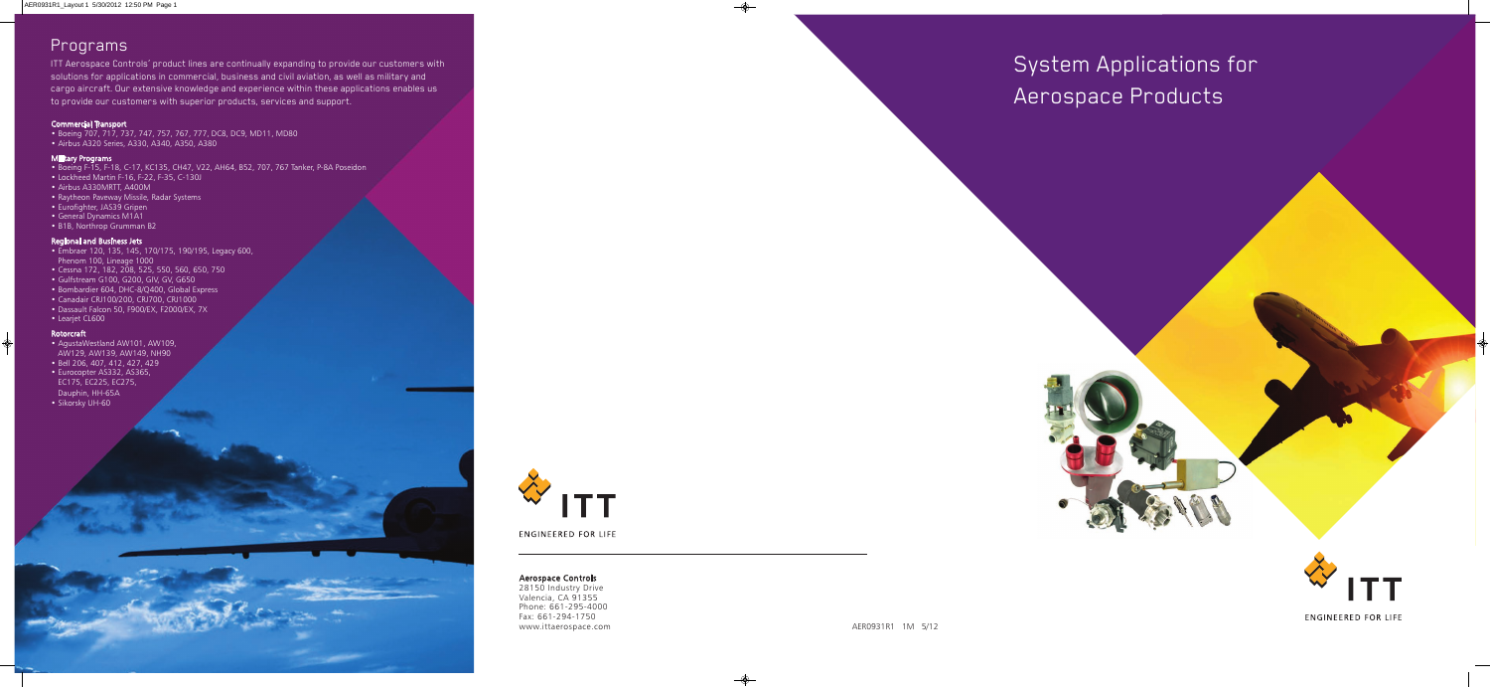System Applications for Aerospace Products



### Aerospace Controls

28150 Industry Drive Valencia, CA 91355 Phone: 661-295-4000 Fax: 661-294-1750 www.ittaerospace.com

# Programs

ITT Aerospace Controls' product lines are continually expanding to provide our customers with solutions for applications in commercial, business and civil aviation, as well as military and cargo aircraft. Our extensive knowledge and experience within these applications enables us to provide our customers with superior products, services and support.

### Commercial Transport

• Boeing 707, 717, 737, 747, 757, 767, 777, DC8, DC9, MD11, MD80 • Airbus A320 Series, A330, A340, A350, A380

## **Military Programs**

- Boeing F-15, F-18, C-17, KC135, CH47, V22, AH64, B52, 707, 767 Tanker, P-8A Poseidon
- Lockheed Martin F-16, F-22, F-35, C-130J
- Airbus A330MRTT, A400M
- Raytheon Paveway Missile, Radar Systems
- Eurofighter, JAS39 Gripen
- General Dynamics M1A1
- B1B, Northrop Grumman B2

### Regional and Business Jets

- Embraer 120, 135, 145, 170/175, 190/195, Legacy 600, Phenom 100, Lineage 1000
- Cessna 172, 182, 208, 525, 550, 560, 650, 750
- Gulfstream G100, G200, GIV, GV, G650
- Bombardier 604, DHC-8/Q400, Global Express
- Canadair CRJ100/200, CRJ700, CRJ1000
- Dassault Falcon 50, F900/EX, F2000/EX, 7X
- Learjet CL600

#### Rotorcraft

- AgustaWestland AW101, AW109, AW129, AW139, AW149, NH90
- Bell 206, 407, 412, 427, 429
- Eurocopter AS332, AS365, EC175, EC225, EC275, Dauphin, HH-65A
- Sikorsky UH-60



**ENGINEERED FOR LIFE**